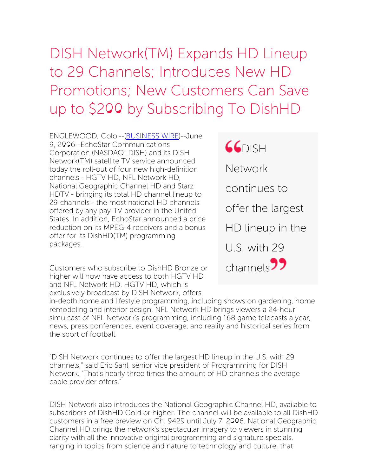## DISH Network(TM) Expands HD Lineup to 29 Channels; Introduces New HD Promotions; New Customers Can Save up to \$200 by Subscribing To DishHD

ENGLEWOOD, Colo.--[\(BUSINESS](http://www.businesswire.com/) WIRE)--June 9, 2006--EchoStar Communications Corporation (NASDAQ: DISH) and its DISH Network(TM) satellite TV service announced today the roll-out of four new high-definition channels - HGTV HD, NFL Network HD, National Geographic Channel HD and Starz HDTV - bringing its total HD channel lineup to 29 channels - the most national HD channels offered by any pay-TV provider in the United States. In addition, EchoStar announced a price reduction on its MPEG-4 receivers and a bonus offer for its DishHD(TM) programming packages.

Customers who subscribe to DishHD Bronze or higher will now have access to both HGTV HD and NFL Network HD. HGTV HD, which is exclusively broadcast by DISH Network, offers



in-depth home and lifestyle programming, including shows on gardening, home remodeling and interior design. NFL Network HD brings viewers a 24-hour simulcast of NFL Network's programming, including 168 game telecasts a year, news, press conferences, event coverage, and reality and historical series from the sport of football.

"DISH Network continues to offer the largest HD lineup in the U.S. with 29 channels," said Eric Sahl, senior vice president of Programming for DISH Network. "That's nearly three times the amount of HD channels the average cable provider offers."

DISH Network also introduces the National Geographic Channel HD, available to subscribers of DishHD Gold or higher. The channel will be available to all DishHD customers in a free preview on Ch. 9429 until July 7, 2006. National Geographic Channel HD brings the network's spectacular imagery to viewers in stunning clarity with all the innovative original programming and signature specials, ranging in topics from science and nature to technology and culture, that